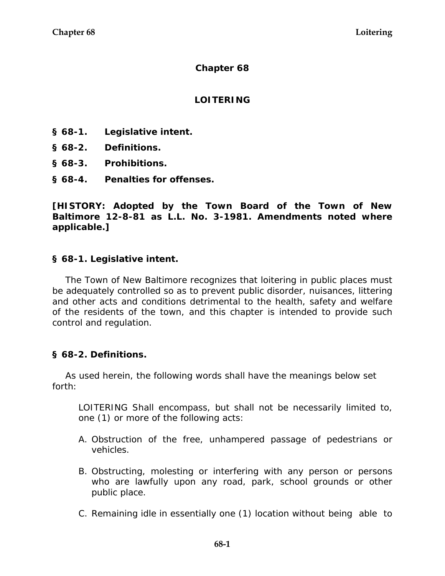#### **Chapter 68**

## **LOITERING**

- **§ 68-1. Legislative intent.**
- **§ 68-2. Definitions.**
- **§ 68-3. Prohibitions.**
- **§ 68-4. Penalties for offenses.**

**[HISTORY: Adopted by the Town Board of the Town of New Baltimore 12-8-81 as L.L. No. 3-1981. Amendments noted where applicable.]** 

## **§ 68-1. Legislative intent.**

The Town of New Baltimore recognizes that loitering in public places must be adequately controlled so as to prevent public disorder, nuisances, littering and other acts and conditions detrimental to the health, safety and welfare of the residents of the town, and this chapter is intended to provide such control and regulation.

#### **§ 68-2. Definitions.**

As used herein, the following words shall have the meanings below set forth:

LOITERING Shall encompass, but shall not be necessarily limited to, one (1) or more of the following acts:

- A. Obstruction of the free, unhampered passage of pedestrians or vehicles.
- B. Obstructing, molesting or interfering with any person or persons who are lawfully upon any road, park, school grounds or other public place.
- C. Remaining idle in essentially one (1) location without being able to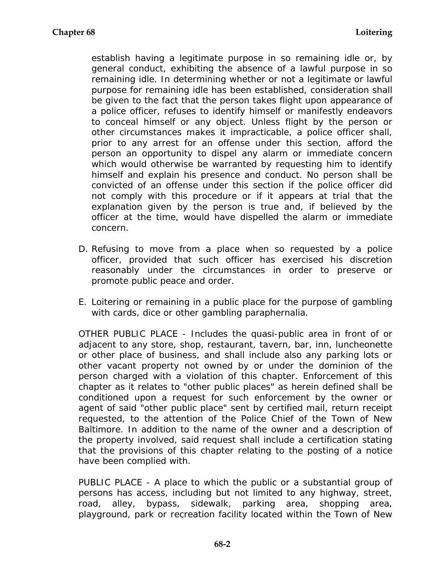establish having a legitimate purpose in so remaining idle or, by general conduct, exhibiting the absence of a lawful purpose in so remaining idle. In determining whether or not a legitimate or lawful purpose for remaining idle has been established, consideration shall be given to the fact that the person takes flight upon appearance of a police officer, refuses to identify himself or manifestly endeavors to conceal himself or any object. Unless flight by the person or other circumstances makes it impracticable, a police officer shall, prior to any arrest for an offense under this section, afford the person an opportunity to dispel any alarm or immediate concern which would otherwise be warranted by requesting him to identify himself and explain his presence and conduct. No person shall be convicted of an offense under this section if the police officer did not comply with this procedure or if it appears at trial that the explanation given by the person is true and, if believed by the officer at the time, would have dispelled the alarm or immediate concern.

- D. Refusing to move from a place when so requested by a police officer, provided that such officer has exercised his discretion reasonably under the circumstances in order to preserve or promote public peace and order.
- E. Loitering or remaining in a public place for the purpose of gambling with cards, dice or other gambling paraphernalia.

OTHER PUBLIC PLACE - Includes the quasi-public area in front of or adjacent to any store, shop, restaurant, tavern, bar, inn, luncheonette or other place of business, and shall include also any parking lots or other vacant property not owned by or under the dominion of the person charged with a violation of this chapter. Enforcement of this chapter as it relates to "other public places" as herein defined shall be conditioned upon a request for such enforcement by the owner or agent of said "other public place" sent by certified mail, return receipt requested, to the attention of the Police Chief of the Town of New Baltimore. In addition to the name of the owner and a description of the property involved, said request shall include a certification stating that the provisions of this chapter relating to the posting of a notice have been complied with.

PUBLIC PLACE - A place to which the public or a substantial group of persons has access, including but not limited to any highway, street, road, alley, bypass, sidewalk, parking area, shopping area, playground, park or recreation facility located within the Town of New